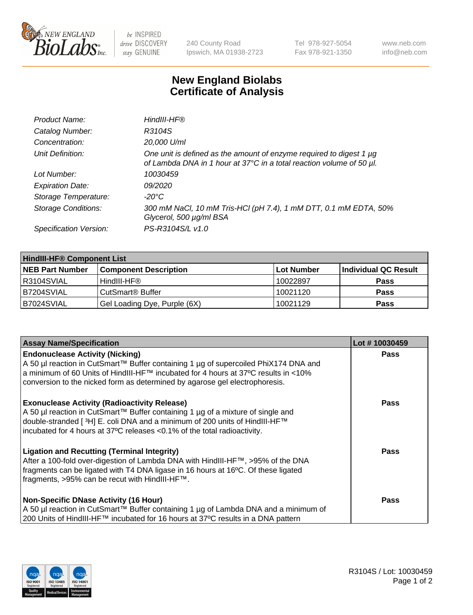

be INSPIRED drive DISCOVERY stay GENUINE

240 County Road Ipswich, MA 01938-2723 Tel 978-927-5054 Fax 978-921-1350 www.neb.com info@neb.com

## **New England Biolabs Certificate of Analysis**

| Product Name:              | HindIII-HF®                                                                                                                                      |
|----------------------------|--------------------------------------------------------------------------------------------------------------------------------------------------|
| Catalog Number:            | R3104S                                                                                                                                           |
| Concentration:             | 20,000 U/ml                                                                                                                                      |
| Unit Definition:           | One unit is defined as the amount of enzyme required to digest 1 $\mu$ g<br>of Lambda DNA in 1 hour at 37°C in a total reaction volume of 50 µl. |
| Lot Number:                | 10030459                                                                                                                                         |
| <b>Expiration Date:</b>    | 09/2020                                                                                                                                          |
| Storage Temperature:       | -20°C                                                                                                                                            |
| <b>Storage Conditions:</b> | 300 mM NaCl, 10 mM Tris-HCl (pH 7.4), 1 mM DTT, 0.1 mM EDTA, 50%<br>Glycerol, 500 µg/ml BSA                                                      |
| Specification Version:     | PS-R3104S/L v1.0                                                                                                                                 |

| <b>HindIII-HF® Component List</b> |                              |            |                      |  |
|-----------------------------------|------------------------------|------------|----------------------|--|
| <b>NEB Part Number</b>            | <b>Component Description</b> | Lot Number | Individual QC Result |  |
| I R3104SVIAL                      | HindIII-HF®                  | 10022897   | <b>Pass</b>          |  |
| IB7204SVIAL                       | CutSmart <sup>®</sup> Buffer | 10021120   | <b>Pass</b>          |  |
| B7024SVIAL                        | Gel Loading Dye, Purple (6X) | 10021129   | <b>Pass</b>          |  |

| <b>Assay Name/Specification</b>                                                                                                                                                                                                                                                                      | Lot #10030459 |
|------------------------------------------------------------------------------------------------------------------------------------------------------------------------------------------------------------------------------------------------------------------------------------------------------|---------------|
| <b>Endonuclease Activity (Nicking)</b><br>  A 50 µl reaction in CutSmart™ Buffer containing 1 µg of supercoiled PhiX174 DNA and<br> a minimum of 60 Units of HindIII-HF™ incubated for 4 hours at 37°C results in <10%                                                                               | <b>Pass</b>   |
| conversion to the nicked form as determined by agarose gel electrophoresis.                                                                                                                                                                                                                          |               |
| <b>Exonuclease Activity (Radioactivity Release)</b><br>  A 50 µl reaction in CutSmart™ Buffer containing 1 µg of a mixture of single and<br> double-stranded [ 3H] E. coli DNA and a minimum of 200 units of HindIII-HF™<br>incubated for 4 hours at 37°C releases <0.1% of the total radioactivity. | <b>Pass</b>   |
| <b>Ligation and Recutting (Terminal Integrity)</b><br>After a 100-fold over-digestion of Lambda DNA with HindIII-HF™, >95% of the DNA<br>fragments can be ligated with T4 DNA ligase in 16 hours at 16°C. Of these ligated<br>fragments, >95% can be recut with HindIII-HF™.                         | Pass          |
| <b>Non-Specific DNase Activity (16 Hour)</b>                                                                                                                                                                                                                                                         | <b>Pass</b>   |
| A 50 µl reaction in CutSmart™ Buffer containing 1 µg of Lambda DNA and a minimum of<br>200 Units of HindIII-HF™ incubated for 16 hours at 37°C results in a DNA pattern                                                                                                                              |               |